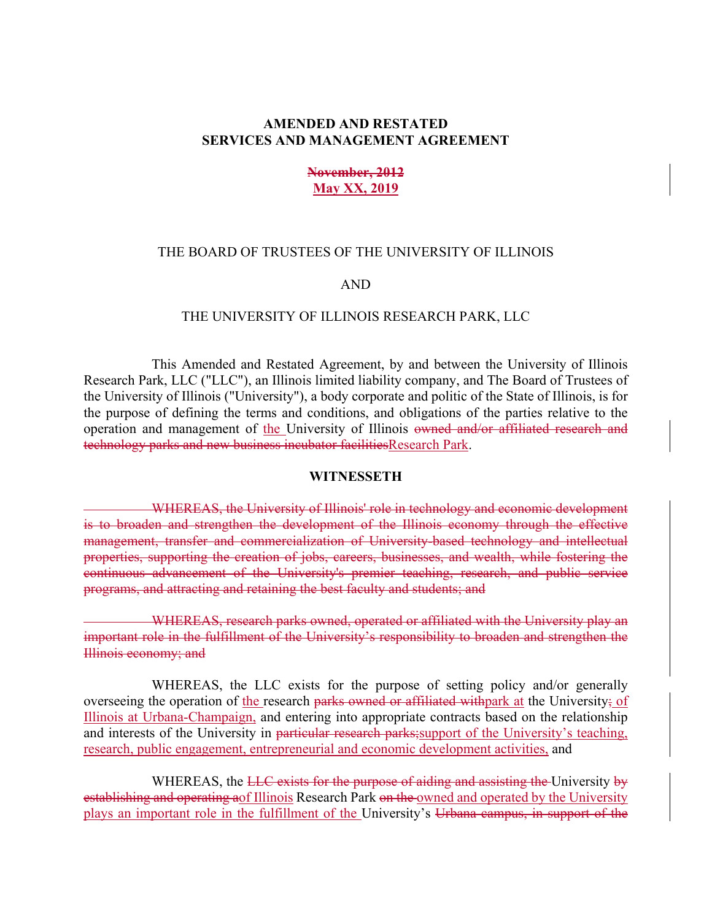## **AMENDED AND RESTATED SERVICES AND MANAGEMENT AGREEMENT**

## **November, 2012 May XX, 2019**

### THE BOARD OF TRUSTEES OF THE UNIVERSITY OF ILLINOIS

#### AND

#### THE UNIVERSITY OF ILLINOIS RESEARCH PARK, LLC

 This Amended and Restated Agreement, by and between the University of Illinois Research Park, LLC ("LLC"), an Illinois limited liability company, and The Board of Trustees of the University of Illinois ("University"), a body corporate and politic of the State of Illinois, is for the purpose of defining the terms and conditions, and obligations of the parties relative to the operation and management of the University of Illinois owned and/or affiliated research and technology parks and new business incubator facilitiesResearch Park.

#### **WITNESSETH**

 WHEREAS, the University of Illinois' role in technology and economic development is to broaden and strengthen the development of the Illinois economy through the effective management, transfer and commercialization of University-based technology and intellectual properties, supporting the creation of jobs, careers, businesses, and wealth, while fostering the continuous advancement of the University's premier teaching, research, and public service programs, and attracting and retaining the best faculty and students; and

 WHEREAS, research parks owned, operated or affiliated with the University play an important role in the fulfillment of the University's responsibility to broaden and strengthen the Illinois economy; and

 WHEREAS, the LLC exists for the purpose of setting policy and/or generally overseeing the operation of the research parks owned or affiliated with park at the University; of Illinois at Urbana-Champaign, and entering into appropriate contracts based on the relationship and interests of the University in particular research parks; support of the University's teaching, research, public engagement, entrepreneurial and economic development activities, and

WHEREAS, the LLC exists for the purpose of aiding and assisting the University by establishing and operating aof Illinois Research Park on the owned and operated by the University plays an important role in the fulfillment of the University's Urbana campus, in support of the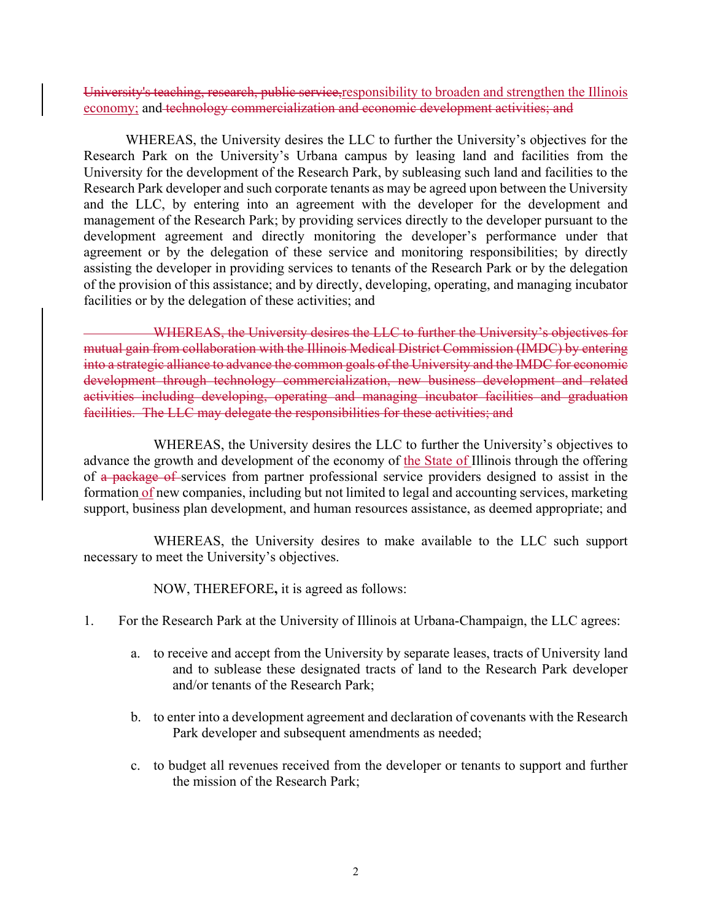University's teaching, research, public service,responsibility to broaden and strengthen the Illinois economy; and technology commercialization and economic development activities; and

 WHEREAS, the University desires the LLC to further the University's objectives for the Research Park on the University's Urbana campus by leasing land and facilities from the University for the development of the Research Park, by subleasing such land and facilities to the Research Park developer and such corporate tenants as may be agreed upon between the University and the LLC, by entering into an agreement with the developer for the development and management of the Research Park; by providing services directly to the developer pursuant to the development agreement and directly monitoring the developer's performance under that agreement or by the delegation of these service and monitoring responsibilities; by directly assisting the developer in providing services to tenants of the Research Park or by the delegation of the provision of this assistance; and by directly, developing, operating, and managing incubator facilities or by the delegation of these activities; and

 WHEREAS, the University desires the LLC to further the University's objectives for mutual gain from collaboration with the Illinois Medical District Commission (IMDC) by entering into a strategic alliance to advance the common goals of the University and the IMDC for economic development through technology commercialization, new business development and related activities including developing, operating and managing incubator facilities and graduation facilities. The LLC may delegate the responsibilities for these activities; and

 WHEREAS, the University desires the LLC to further the University's objectives to advance the growth and development of the economy of the State of Illinois through the offering of a package of services from partner professional service providers designed to assist in the formation of new companies, including but not limited to legal and accounting services, marketing support, business plan development, and human resources assistance, as deemed appropriate; and

 WHEREAS, the University desires to make available to the LLC such support necessary to meet the University's objectives.

NOW, THEREFORE**,** it is agreed as follows:

- 1. For the Research Park at the University of Illinois at Urbana-Champaign, the LLC agrees:
	- a. to receive and accept from the University by separate leases, tracts of University land and to sublease these designated tracts of land to the Research Park developer and/or tenants of the Research Park;
	- b. to enter into a development agreement and declaration of covenants with the Research Park developer and subsequent amendments as needed;
	- c. to budget all revenues received from the developer or tenants to support and further the mission of the Research Park;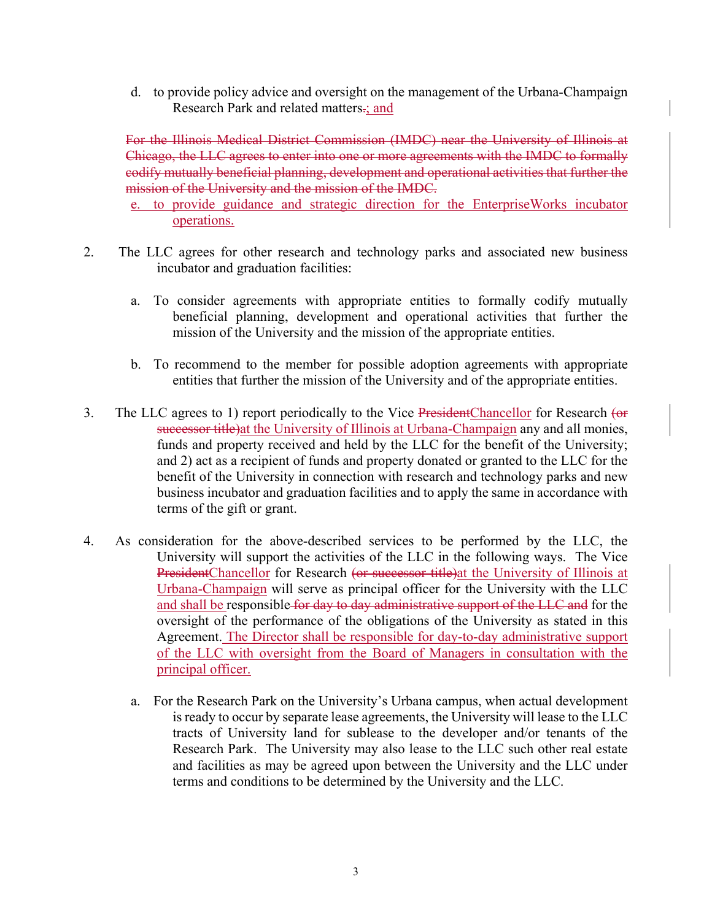d. to provide policy advice and oversight on the management of the Urbana-Champaign Research Park and related matters.; and

For the Illinois Medical District Commission (IMDC) near the University of Illinois at Chicago, the LLC agrees to enter into one or more agreements with the IMDC to formally codify mutually beneficial planning, development and operational activities that further the mission of the University and the mission of the IMDC.

- e. to provide guidance and strategic direction for the EnterpriseWorks incubator operations.
- 2. The LLC agrees for other research and technology parks and associated new business incubator and graduation facilities:
	- a. To consider agreements with appropriate entities to formally codify mutually beneficial planning, development and operational activities that further the mission of the University and the mission of the appropriate entities.
	- b. To recommend to the member for possible adoption agreements with appropriate entities that further the mission of the University and of the appropriate entities.
- 3. The LLC agrees to 1) report periodically to the Vice PresidentChancellor for Research (or successor title) at the University of Illinois at Urbana-Champaign any and all monies, funds and property received and held by the LLC for the benefit of the University; and 2) act as a recipient of funds and property donated or granted to the LLC for the benefit of the University in connection with research and technology parks and new business incubator and graduation facilities and to apply the same in accordance with terms of the gift or grant.
- 4. As consideration for the above-described services to be performed by the LLC, the University will support the activities of the LLC in the following ways. The Vice PresidentChancellor for Research (or successor title)at the University of Illinois at Urbana-Champaign will serve as principal officer for the University with the LLC and shall be responsible for day to day administrative support of the LLC and for the oversight of the performance of the obligations of the University as stated in this Agreement. The Director shall be responsible for day-to-day administrative support of the LLC with oversight from the Board of Managers in consultation with the principal officer.
	- a. For the Research Park on the University's Urbana campus, when actual development is ready to occur by separate lease agreements, the University will lease to the LLC tracts of University land for sublease to the developer and/or tenants of the Research Park. The University may also lease to the LLC such other real estate and facilities as may be agreed upon between the University and the LLC under terms and conditions to be determined by the University and the LLC.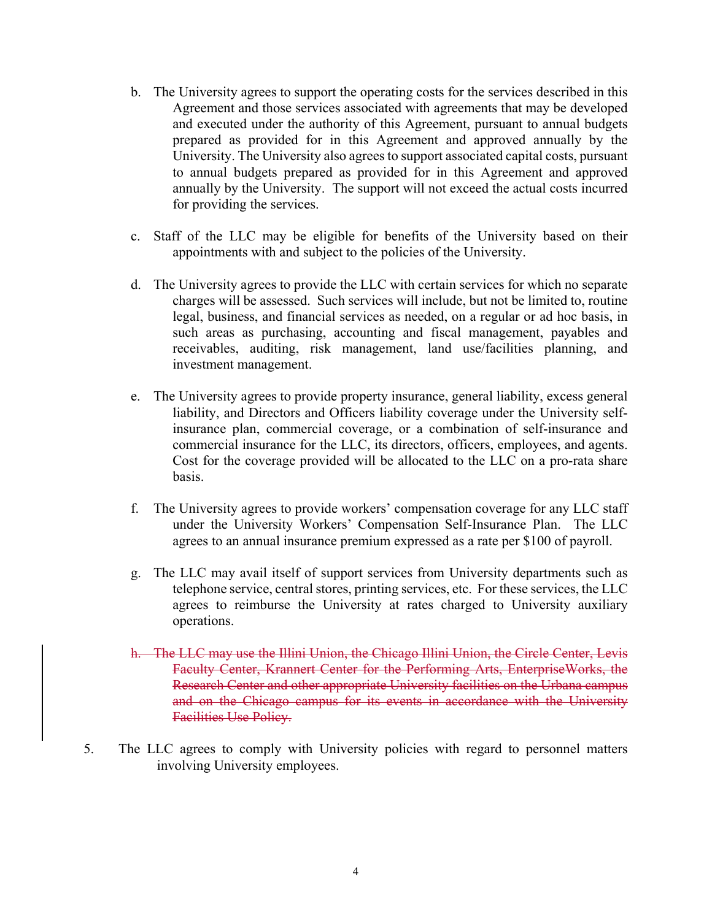- b. The University agrees to support the operating costs for the services described in this Agreement and those services associated with agreements that may be developed and executed under the authority of this Agreement, pursuant to annual budgets prepared as provided for in this Agreement and approved annually by the University. The University also agrees to support associated capital costs, pursuant to annual budgets prepared as provided for in this Agreement and approved annually by the University. The support will not exceed the actual costs incurred for providing the services.
- c. Staff of the LLC may be eligible for benefits of the University based on their appointments with and subject to the policies of the University.
- d. The University agrees to provide the LLC with certain services for which no separate charges will be assessed. Such services will include, but not be limited to, routine legal, business, and financial services as needed, on a regular or ad hoc basis, in such areas as purchasing, accounting and fiscal management, payables and receivables, auditing, risk management, land use/facilities planning, and investment management.
- e. The University agrees to provide property insurance, general liability, excess general liability, and Directors and Officers liability coverage under the University selfinsurance plan, commercial coverage, or a combination of self-insurance and commercial insurance for the LLC, its directors, officers, employees, and agents. Cost for the coverage provided will be allocated to the LLC on a pro-rata share basis.
- f. The University agrees to provide workers' compensation coverage for any LLC staff under the University Workers' Compensation Self-Insurance Plan. The LLC agrees to an annual insurance premium expressed as a rate per \$100 of payroll.
- g. The LLC may avail itself of support services from University departments such as telephone service, central stores, printing services, etc. For these services, the LLC agrees to reimburse the University at rates charged to University auxiliary operations.
- h. The LLC may use the Illini Union, the Chicago Illini Union, the Circle Center, Levis Faculty Center, Krannert Center for the Performing Arts, EnterpriseWorks, the Research Center and other appropriate University facilities on the Urbana campus and on the Chicago campus for its events in accordance with the University Facilities Use Policy.
- 5. The LLC agrees to comply with University policies with regard to personnel matters involving University employees.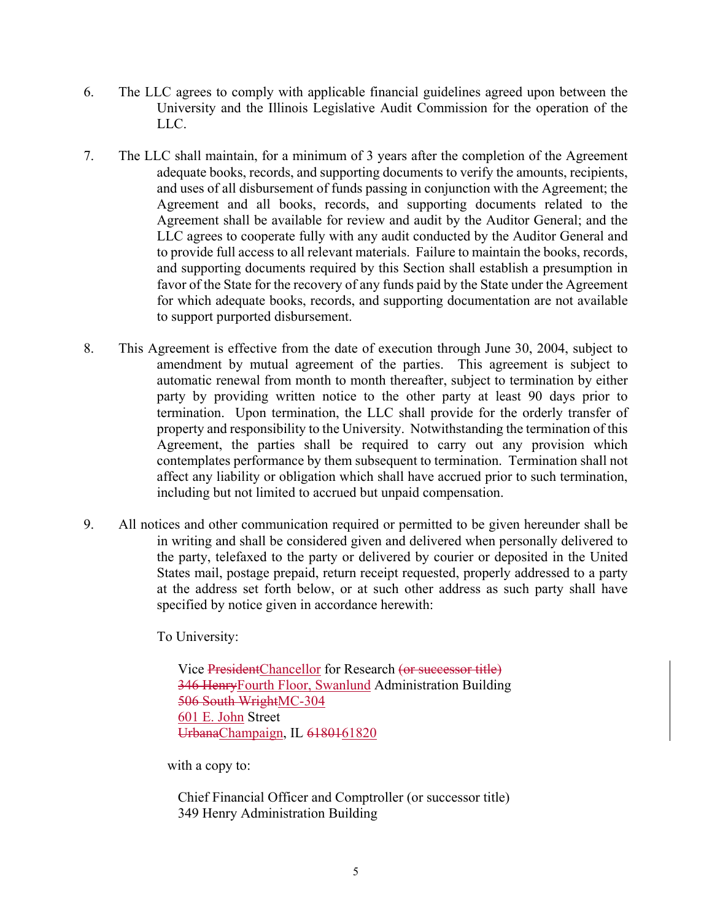- 6. The LLC agrees to comply with applicable financial guidelines agreed upon between the University and the Illinois Legislative Audit Commission for the operation of the LLC.
- 7. The LLC shall maintain, for a minimum of 3 years after the completion of the Agreement adequate books, records, and supporting documents to verify the amounts, recipients, and uses of all disbursement of funds passing in conjunction with the Agreement; the Agreement and all books, records, and supporting documents related to the Agreement shall be available for review and audit by the Auditor General; and the LLC agrees to cooperate fully with any audit conducted by the Auditor General and to provide full access to all relevant materials. Failure to maintain the books, records, and supporting documents required by this Section shall establish a presumption in favor of the State for the recovery of any funds paid by the State under the Agreement for which adequate books, records, and supporting documentation are not available to support purported disbursement.
- 8. This Agreement is effective from the date of execution through June 30, 2004, subject to amendment by mutual agreement of the parties. This agreement is subject to automatic renewal from month to month thereafter, subject to termination by either party by providing written notice to the other party at least 90 days prior to termination. Upon termination, the LLC shall provide for the orderly transfer of property and responsibility to the University. Notwithstanding the termination of this Agreement, the parties shall be required to carry out any provision which contemplates performance by them subsequent to termination. Termination shall not affect any liability or obligation which shall have accrued prior to such termination, including but not limited to accrued but unpaid compensation.
- 9. All notices and other communication required or permitted to be given hereunder shall be in writing and shall be considered given and delivered when personally delivered to the party, telefaxed to the party or delivered by courier or deposited in the United States mail, postage prepaid, return receipt requested, properly addressed to a party at the address set forth below, or at such other address as such party shall have specified by notice given in accordance herewith:

To University:

Vice PresidentChancellor for Research (or successor title) 346 HenryFourth Floor, Swanlund Administration Building 506 South WrightMC-304 601 E. John Street UrbanaChampaign, IL 6180161820

with a copy to:

Chief Financial Officer and Comptroller (or successor title) 349 Henry Administration Building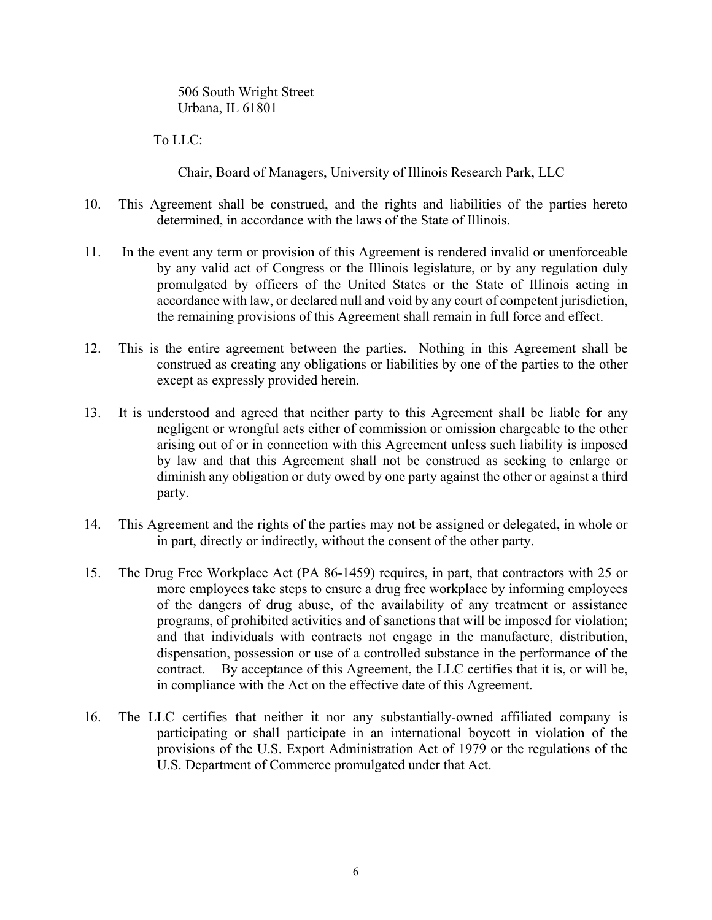506 South Wright Street Urbana, IL 61801

To LLC:

Chair, Board of Managers, University of Illinois Research Park, LLC

- 10. This Agreement shall be construed, and the rights and liabilities of the parties hereto determined, in accordance with the laws of the State of Illinois.
- 11. In the event any term or provision of this Agreement is rendered invalid or unenforceable by any valid act of Congress or the Illinois legislature, or by any regulation duly promulgated by officers of the United States or the State of Illinois acting in accordance with law, or declared null and void by any court of competent jurisdiction, the remaining provisions of this Agreement shall remain in full force and effect.
- 12. This is the entire agreement between the parties. Nothing in this Agreement shall be construed as creating any obligations or liabilities by one of the parties to the other except as expressly provided herein.
- 13. It is understood and agreed that neither party to this Agreement shall be liable for any negligent or wrongful acts either of commission or omission chargeable to the other arising out of or in connection with this Agreement unless such liability is imposed by law and that this Agreement shall not be construed as seeking to enlarge or diminish any obligation or duty owed by one party against the other or against a third party.
- 14. This Agreement and the rights of the parties may not be assigned or delegated, in whole or in part, directly or indirectly, without the consent of the other party.
- 15. The Drug Free Workplace Act (PA 86-1459) requires, in part, that contractors with 25 or more employees take steps to ensure a drug free workplace by informing employees of the dangers of drug abuse, of the availability of any treatment or assistance programs, of prohibited activities and of sanctions that will be imposed for violation; and that individuals with contracts not engage in the manufacture, distribution, dispensation, possession or use of a controlled substance in the performance of the contract. By acceptance of this Agreement, the LLC certifies that it is, or will be, in compliance with the Act on the effective date of this Agreement.
- 16. The LLC certifies that neither it nor any substantially-owned affiliated company is participating or shall participate in an international boycott in violation of the provisions of the U.S. Export Administration Act of 1979 or the regulations of the U.S. Department of Commerce promulgated under that Act.